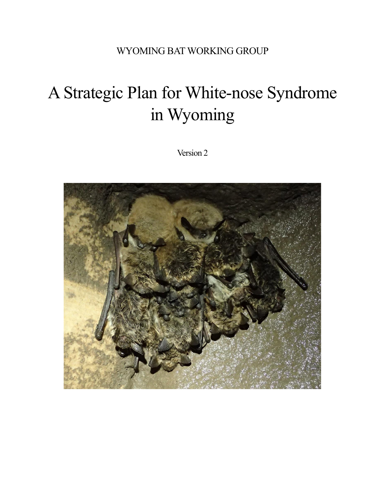# WYOMING BAT WORKING GROUP

# A Strategic Plan for White-nose Syndrome in Wyoming

Version 2

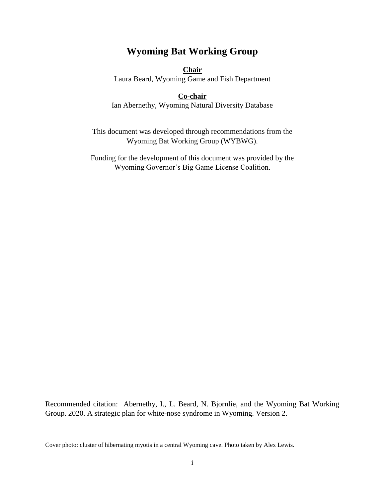# **Wyoming Bat Working Group**

#### **Chair**

Laura Beard, Wyoming Game and Fish Department

#### **Co-chair**

Ian Abernethy, Wyoming Natural Diversity Database

This document was developed through recommendations from the Wyoming Bat Working Group (WYBWG).

Funding for the development of this document was provided by the Wyoming Governor's Big Game License Coalition.

Recommended citation: Abernethy, I., L. Beard, N. Bjornlie, and the Wyoming Bat Working Group. 2020. A strategic plan for white-nose syndrome in Wyoming. Version 2.

Cover photo: cluster of hibernating myotis in a central Wyoming cave. Photo taken by Alex Lewis.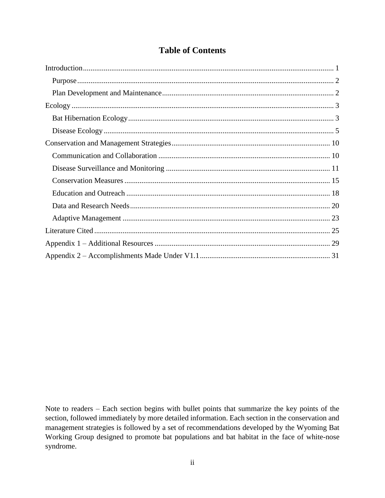# **Table of Contents**

Note to readers – Each section begins with bullet points that summarize the key points of the section, followed immediately by more detailed information. Each section in the conservation and management strategies is followed by a set of recommendations developed by the Wyoming Bat Working Group designed to promote bat populations and bat habitat in the face of white-nose syndrome.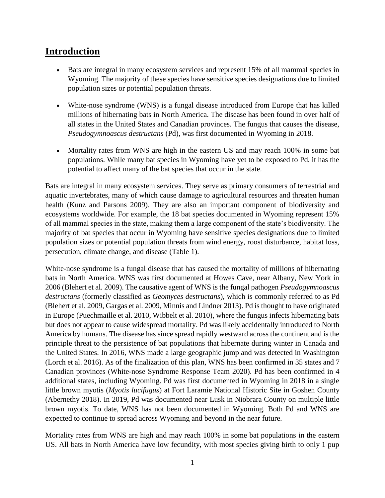# <span id="page-3-0"></span>**Introduction**

- Bats are integral in many ecosystem services and represent 15% of all mammal species in Wyoming. The majority of these species have sensitive species designations due to limited population sizes or potential population threats.
- White-nose syndrome (WNS) is a fungal disease introduced from Europe that has killed millions of hibernating bats in North America. The disease has been found in over half of all states in the United States and Canadian provinces. The fungus that causes the disease, *Pseudogymnoascus destructans* (Pd), was first documented in Wyoming in 2018.
- Mortality rates from WNS are high in the eastern US and may reach 100% in some bat populations. While many bat species in Wyoming have yet to be exposed to Pd, it has the potential to affect many of the bat species that occur in the state.

Bats are integral in many ecosystem services. They serve as primary consumers of terrestrial and aquatic invertebrates, many of which cause damage to agricultural resources and threaten human health (Kunz and Parsons 2009). They are also an important component of biodiversity and ecosystems worldwide. For example, the 18 bat species documented in Wyoming represent 15% of all mammal species in the state, making them a large component of the state's biodiversity. The majority of bat species that occur in Wyoming have sensitive species designations due to limited population sizes or potential population threats from wind energy, roost disturbance, habitat loss, persecution, climate change, and disease (Table 1).

White-nose syndrome is a fungal disease that has caused the mortality of millions of hibernating bats in North America. WNS was first documented at Howes Cave, near Albany, New York in 2006 (Blehert et al. 2009). The causative agent of WNS is the fungal pathogen *Pseudogymnoascus destructans* (formerly classified as *Geomyces destructans*), which is commonly referred to as Pd (Blehert et al. 2009, Gargas et al. 2009, Minnis and Lindner 2013). Pd is thought to have originated in Europe (Puechmaille et al. 2010, Wibbelt et al. 2010), where the fungus infects hibernating bats but does not appear to cause widespread mortality. Pd was likely accidentally introduced to North America by humans. The disease has since spread rapidly westward across the continent and is the principle threat to the persistence of bat populations that hibernate during winter in Canada and the United States. In 2016, WNS made a large geographic jump and was detected in Washington (Lorch et al. 2016). As of the finalization of this plan, WNS has been confirmed in 35 states and 7 Canadian provinces (White-nose Syndrome Response Team 2020). Pd has been confirmed in 4 additional states, including Wyoming. Pd was first documented in Wyoming in 2018 in a single little brown myotis (*Myotis lucifugus*) at Fort Laramie National Historic Site in Goshen County (Abernethy 2018). In 2019, Pd was documented near Lusk in Niobrara County on multiple little brown myotis. To date, WNS has not been documented in Wyoming. Both Pd and WNS are expected to continue to spread across Wyoming and beyond in the near future.

Mortality rates from WNS are high and may reach 100% in some bat populations in the eastern US. All bats in North America have low fecundity, with most species giving birth to only 1 pup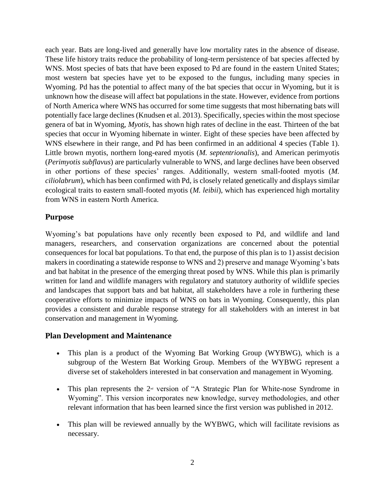each year. Bats are long-lived and generally have low mortality rates in the absence of disease. These life history traits reduce the probability of long-term persistence of bat species affected by WNS. Most species of bats that have been exposed to Pd are found in the eastern United States; most western bat species have yet to be exposed to the fungus, including many species in Wyoming. Pd has the potential to affect many of the bat species that occur in Wyoming, but it is unknown how the disease will affect bat populations in the state. However, evidence from portions of North America where WNS has occurred for some time suggests that most hibernating bats will potentially face large declines (Knudsen et al. 2013). Specifically, species within the most speciose genera of bat in Wyoming, *Myotis,* has shown high rates of decline in the east. Thirteen of the bat species that occur in Wyoming hibernate in winter. Eight of these species have been affected by WNS elsewhere in their range, and Pd has been confirmed in an additional 4 species (Table 1). Little brown myotis, northern long-eared myotis (*M. septentrionalis*), and American perimyotis (*Perimyotis subflavus*) are particularly vulnerable to WNS, and large declines have been observed in other portions of these species' ranges. Additionally, western small-footed myotis (*M. ciliolabrum*), which has been confirmed with Pd, is closely related genetically and displays similar ecological traits to eastern small-footed myotis (*M. leibii*), which has experienced high mortality from WNS in eastern North America.

#### <span id="page-4-0"></span>**Purpose**

Wyoming's bat populations have only recently been exposed to Pd, and wildlife and land managers, researchers, and conservation organizations are concerned about the potential consequences for local bat populations. To that end, the purpose of this plan is to 1) assist decision makers in coordinating a statewide response to WNS and 2) preserve and manage Wyoming's bats and bat habitat in the presence of the emerging threat posed by WNS. While this plan is primarily written for land and wildlife managers with regulatory and statutory authority of wildlife species and landscapes that support bats and bat habitat, all stakeholders have a role in furthering these cooperative efforts to minimize impacts of WNS on bats in Wyoming. Consequently, this plan provides a consistent and durable response strategy for all stakeholders with an interest in bat conservation and management in Wyoming.

#### <span id="page-4-1"></span>**Plan Development and Maintenance**

- This plan is a product of the Wyoming Bat Working Group (WYBWG), which is a subgroup of the Western Bat Working Group. Members of the WYBWG represent a diverse set of stakeholders interested in bat conservation and management in Wyoming.
- This plan represents the  $2<sup>nd</sup>$  version of "A Strategic Plan for White-nose Syndrome in Wyoming". This version incorporates new knowledge, survey methodologies, and other relevant information that has been learned since the first version was published in 2012.
- This plan will be reviewed annually by the WYBWG, which will facilitate revisions as necessary.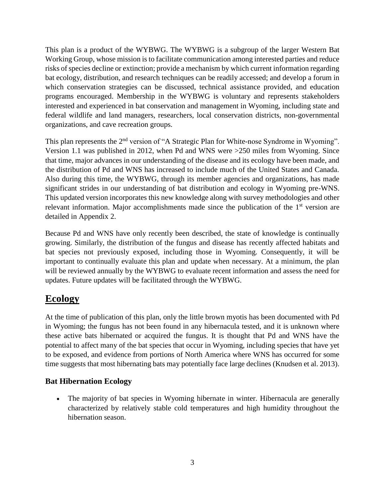This plan is a product of the WYBWG. The WYBWG is a subgroup of the larger Western Bat Working Group, whose mission is to facilitate communication among interested parties and reduce risks of species decline or extinction; provide a mechanism by which current information regarding bat ecology, distribution, and research techniques can be readily accessed; and develop a forum in which conservation strategies can be discussed, technical assistance provided, and education programs encouraged. Membership in the WYBWG is voluntary and represents stakeholders interested and experienced in bat conservation and management in Wyoming, including state and federal wildlife and land managers, researchers, local conservation districts, non-governmental organizations, and cave recreation groups.

This plan represents the 2<sup>nd</sup> version of "A Strategic Plan for White-nose Syndrome in Wyoming". Version 1.1 was published in 2012, when Pd and WNS were >250 miles from Wyoming. Since that time, major advances in our understanding of the disease and its ecology have been made, and the distribution of Pd and WNS has increased to include much of the United States and Canada. Also during this time, the WYBWG, through its member agencies and organizations, has made significant strides in our understanding of bat distribution and ecology in Wyoming pre-WNS. This updated version incorporates this new knowledge along with survey methodologies and other relevant information. Major accomplishments made since the publication of the 1<sup>st</sup> version are detailed in Appendix 2.

Because Pd and WNS have only recently been described, the state of knowledge is continually growing. Similarly, the distribution of the fungus and disease has recently affected habitats and bat species not previously exposed, including those in Wyoming. Consequently, it will be important to continually evaluate this plan and update when necessary. At a minimum, the plan will be reviewed annually by the WYBWG to evaluate recent information and assess the need for updates. Future updates will be facilitated through the WYBWG.

# <span id="page-5-0"></span>**Ecology**

At the time of publication of this plan, only the little brown myotis has been documented with Pd in Wyoming; the fungus has not been found in any hibernacula tested, and it is unknown where these active bats hibernated or acquired the fungus. It is thought that Pd and WNS have the potential to affect many of the bat species that occur in Wyoming, including species that have yet to be exposed, and evidence from portions of North America where WNS has occurred for some time suggests that most hibernating bats may potentially face large declines (Knudsen et al. 2013).

# <span id="page-5-1"></span>**Bat Hibernation Ecology**

• The majority of bat species in Wyoming hibernate in winter. Hibernacula are generally characterized by relatively stable cold temperatures and high humidity throughout the hibernation season.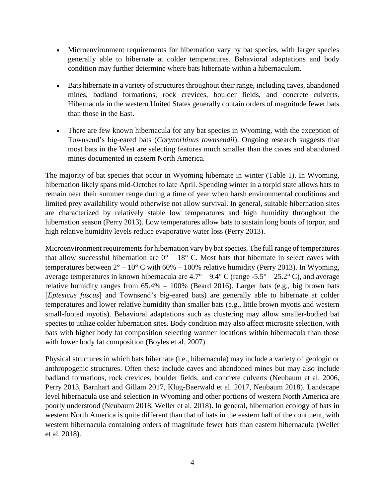- Microenvironment requirements for hibernation vary by bat species, with larger species generally able to hibernate at colder temperatures. Behavioral adaptations and body condition may further determine where bats hibernate within a hibernaculum.
- Bats hibernate in a variety of structures throughout their range, including caves, abandoned mines, badland formations, rock crevices, boulder fields, and concrete culverts. Hibernacula in the western United States generally contain orders of magnitude fewer bats than those in the East.
- There are few known hibernacula for any bat species in Wyoming, with the exception of Townsend's big-eared bats (*Corynorhinus townsendii*). Ongoing research suggests that most bats in the West are selecting features much smaller than the caves and abandoned mines documented in eastern North America.

The majority of bat species that occur in Wyoming hibernate in winter (Table 1). In Wyoming, hibernation likely spans mid-October to late April. Spending winter in a torpid state allows bats to remain near their summer range during a time of year when harsh environmental conditions and limited prey availability would otherwise not allow survival. In general, suitable hibernation sites are characterized by relatively stable low temperatures and high humidity throughout the hibernation season (Perry 2013). Low temperatures allow bats to sustain long bouts of torpor, and high relative humidity levels reduce evaporative water loss (Perry 2013).

Microenvironment requirements for hibernation vary by bat species. The full range of temperatures that allow successful hibernation are  $0^{\circ}$  – 18° C. Most bats that hibernate in select caves with temperatures between  $2^{\circ} - 10^{\circ}$  C with 60% – 100% relative humidity (Perry 2013). In Wyoming, average temperatures in known hibernacula are  $4.7^{\circ} - 9.4^{\circ}$  C (range -5.5° – 25.2° C), and average relative humidity ranges from  $65.4\% - 100\%$  (Beard 2016). Larger bats (e.g., big brown bats [*Eptesicus fuscus*] and Townsend's big-eared bats) are generally able to hibernate at colder temperatures and lower relative humidity than smaller bats (e.g., little brown myotis and western small-footed myotis). Behavioral adaptations such as clustering may allow smaller-bodied bat species to utilize colder hibernation sites. Body condition may also affect microsite selection, with bats with higher body fat composition selecting warmer locations within hibernacula than those with lower body fat composition (Boyles et al. 2007).

Physical structures in which bats hibernate (i.e., hibernacula) may include a variety of geologic or anthropogenic structures. Often these include caves and abandoned mines but may also include badland formations, rock crevices, boulder fields, and concrete culverts (Neubaum et al. 2006, Perry 2013, Barnhart and Gillam 2017, Klug-Baerwald et al. 2017, Neubaum 2018). Landscape level hibernacula use and selection in Wyoming and other portions of western North America are poorly understood (Neubaum 2018, Weller et al. 2018). In general, hibernation ecology of bats in western North America is quite different than that of bats in the eastern half of the continent, with western hibernacula containing orders of magnitude fewer bats than eastern hibernacula (Weller et al. 2018).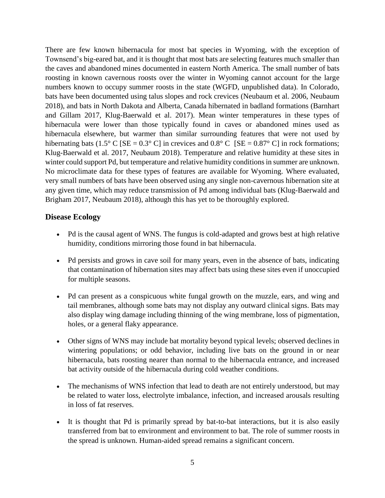There are few known hibernacula for most bat species in Wyoming, with the exception of Townsend's big-eared bat, and it is thought that most bats are selecting features much smaller than the caves and abandoned mines documented in eastern North America. The small number of bats roosting in known cavernous roosts over the winter in Wyoming cannot account for the large numbers known to occupy summer roosts in the state (WGFD, unpublished data). In Colorado, bats have been documented using talus slopes and rock crevices (Neubaum et al. 2006, Neubaum 2018), and bats in North Dakota and Alberta, Canada hibernated in badland formations (Barnhart and Gillam 2017, Klug-Baerwald et al. 2017). Mean winter temperatures in these types of hibernacula were lower than those typically found in caves or abandoned mines used as hibernacula elsewhere, but warmer than similar surrounding features that were not used by hibernating bats (1.5° C [SE =  $0.3$ ° C] in crevices and  $0.8$ ° C [SE =  $0.87$ ° C] in rock formations; Klug-Baerwald et al. 2017, Neubaum 2018). Temperature and relative humidity at these sites in winter could support Pd, but temperature and relative humidity conditions in summer are unknown. No microclimate data for these types of features are available for Wyoming. Where evaluated, very small numbers of bats have been observed using any single non-cavernous hibernation site at any given time, which may reduce transmission of Pd among individual bats (Klug-Baerwald and Brigham 2017, Neubaum 2018), although this has yet to be thoroughly explored.

## <span id="page-7-0"></span>**Disease Ecology**

- Pd is the causal agent of WNS. The fungus is cold-adapted and grows best at high relative humidity, conditions mirroring those found in bat hibernacula.
- Pd persists and grows in cave soil for many years, even in the absence of bats, indicating that contamination of hibernation sites may affect bats using these sites even if unoccupied for multiple seasons.
- Pd can present as a conspicuous white fungal growth on the muzzle, ears, and wing and tail membranes, although some bats may not display any outward clinical signs. Bats may also display wing damage including thinning of the wing membrane, loss of pigmentation, holes, or a general flaky appearance.
- Other signs of WNS may include bat mortality beyond typical levels; observed declines in wintering populations; or odd behavior, including live bats on the ground in or near hibernacula, bats roosting nearer than normal to the hibernacula entrance, and increased bat activity outside of the hibernacula during cold weather conditions.
- The mechanisms of WNS infection that lead to death are not entirely understood, but may be related to water loss, electrolyte imbalance, infection, and increased arousals resulting in loss of fat reserves.
- It is thought that Pd is primarily spread by bat-to-bat interactions, but it is also easily transferred from bat to environment and environment to bat. The role of summer roosts in the spread is unknown. Human-aided spread remains a significant concern.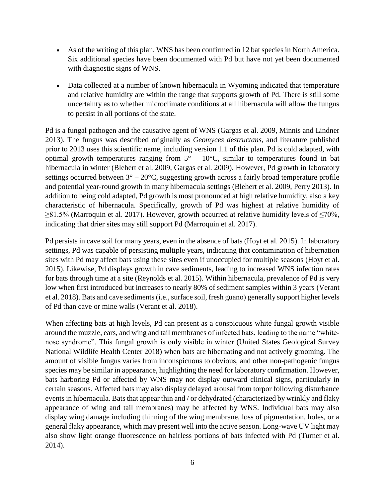- As of the writing of this plan, WNS has been confirmed in 12 bat species in North America. Six additional species have been documented with Pd but have not yet been documented with diagnostic signs of WNS.
- Data collected at a number of known hibernacula in Wyoming indicated that temperature and relative humidity are within the range that supports growth of Pd. There is still some uncertainty as to whether microclimate conditions at all hibernacula will allow the fungus to persist in all portions of the state.

Pd is a fungal pathogen and the causative agent of WNS (Gargas et al. 2009, Minnis and Lindner 2013). The fungus was described originally as *Geomyces destructans*, and literature published prior to 2013 uses this scientific name, including version 1.1 of this plan. Pd is cold adapted, with optimal growth temperatures ranging from  $5^{\circ}$  – 10 $^{\circ}$ C, similar to temperatures found in bat hibernacula in winter (Blehert et al. 2009, Gargas et al. 2009). However, Pd growth in laboratory settings occurred between  $3^{\circ} - 20^{\circ}$ C, suggesting growth across a fairly broad temperature profile and potential year-round growth in many hibernacula settings (Blehert et al. 2009, Perry 2013). In addition to being cold adapted, Pd growth is most pronounced at high relative humidity, also a key characteristic of hibernacula. Specifically, growth of Pd was highest at relative humidity of  $\geq$ 81.5% (Marroquin et al. 2017). However, growth occurred at relative humidity levels of  $\leq$ 70%, indicating that drier sites may still support Pd (Marroquin et al. 2017).

Pd persists in cave soil for many years, even in the absence of bats (Hoyt et al. 2015). In laboratory settings, Pd was capable of persisting multiple years, indicating that contamination of hibernation sites with Pd may affect bats using these sites even if unoccupied for multiple seasons (Hoyt et al. 2015). Likewise, Pd displays growth in cave sediments, leading to increased WNS infection rates for bats through time at a site (Reynolds et al. 2015). Within hibernacula, prevalence of Pd is very low when first introduced but increases to nearly 80% of sediment samples within 3 years (Verant et al. 2018). Bats and cave sediments (i.e., surface soil, fresh guano) generally support higher levels of Pd than cave or mine walls (Verant et al. 2018).

When affecting bats at high levels, Pd can present as a conspicuous white fungal growth visible around the muzzle, ears, and wing and tail membranes of infected bats, leading to the name "whitenose syndrome". This fungal growth is only visible in winter (United States Geological Survey National Wildlife Health Center 2018) when bats are hibernating and not actively grooming. The amount of visible fungus varies from inconspicuous to obvious, and other non-pathogenic fungus species may be similar in appearance, highlighting the need for laboratory confirmation. However, bats harboring Pd or affected by WNS may not display outward clinical signs, particularly in certain seasons. Affected bats may also display delayed arousal from torpor following disturbance events in hibernacula. Bats that appear thin and / or dehydrated (characterized by wrinkly and flaky appearance of wing and tail membranes) may be affected by WNS. Individual bats may also display wing damage including thinning of the wing membrane, loss of pigmentation, holes, or a general flaky appearance, which may present well into the active season. Long-wave UV light may also show light orange fluorescence on hairless portions of bats infected with Pd (Turner et al. 2014).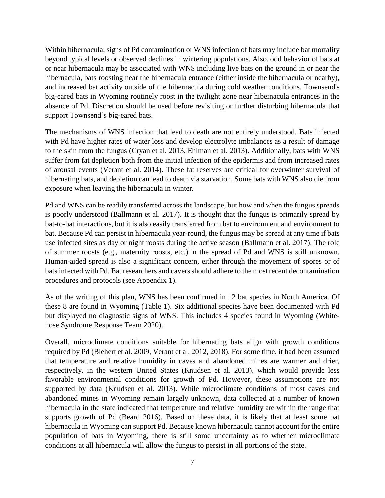Within hibernacula, signs of Pd contamination or WNS infection of bats may include bat mortality beyond typical levels or observed declines in wintering populations. Also, odd behavior of bats at or near hibernacula may be associated with WNS including live bats on the ground in or near the hibernacula, bats roosting near the hibernacula entrance (either inside the hibernacula or nearby), and increased bat activity outside of the hibernacula during cold weather conditions. Townsend's big-eared bats in Wyoming routinely roost in the twilight zone near hibernacula entrances in the absence of Pd. Discretion should be used before revisiting or further disturbing hibernacula that support Townsend's big-eared bats.

The mechanisms of WNS infection that lead to death are not entirely understood. Bats infected with Pd have higher rates of water loss and develop electrolyte imbalances as a result of damage to the skin from the fungus (Cryan et al. 2013, Ehlman et al. 2013). Additionally, bats with WNS suffer from fat depletion both from the initial infection of the epidermis and from increased rates of arousal events (Verant et al. 2014). These fat reserves are critical for overwinter survival of hibernating bats, and depletion can lead to death via starvation. Some bats with WNS also die from exposure when leaving the hibernacula in winter.

Pd and WNS can be readily transferred across the landscape, but how and when the fungus spreads is poorly understood (Ballmann et al. 2017). It is thought that the fungus is primarily spread by bat-to-bat interactions, but it is also easily transferred from bat to environment and environment to bat. Because Pd can persist in hibernacula year-round, the fungus may be spread at any time if bats use infected sites as day or night roosts during the active season (Ballmann et al. 2017). The role of summer roosts (e.g., maternity roosts, etc.) in the spread of Pd and WNS is still unknown. Human-aided spread is also a significant concern, either through the movement of spores or of bats infected with Pd. Bat researchers and cavers should adhere to the most recent decontamination procedures and protocols (see Appendix 1).

As of the writing of this plan, WNS has been confirmed in 12 bat species in North America. Of these 8 are found in Wyoming (Table 1). Six additional species have been documented with Pd but displayed no diagnostic signs of WNS. This includes 4 species found in Wyoming (Whitenose Syndrome Response Team 2020).

Overall, microclimate conditions suitable for hibernating bats align with growth conditions required by Pd (Blehert et al. 2009, Verant et al. 2012, 2018). For some time, it had been assumed that temperature and relative humidity in caves and abandoned mines are warmer and drier, respectively, in the western United States (Knudsen et al. 2013), which would provide less favorable environmental conditions for growth of Pd. However, these assumptions are not supported by data (Knudsen et al. 2013). While microclimate conditions of most caves and abandoned mines in Wyoming remain largely unknown, data collected at a number of known hibernacula in the state indicated that temperature and relative humidity are within the range that supports growth of Pd (Beard 2016). Based on these data, it is likely that at least some bat hibernacula in Wyoming can support Pd. Because known hibernacula cannot account for the entire population of bats in Wyoming, there is still some uncertainty as to whether microclimate conditions at all hibernacula will allow the fungus to persist in all portions of the state.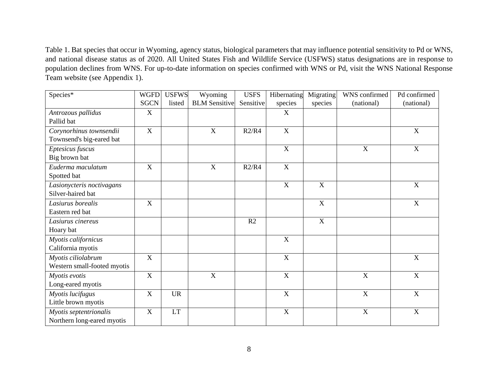Table 1. Bat species that occur in Wyoming, agency status, biological parameters that may influence potential sensitivity to Pd or WNS, and national disease status as of 2020. All United States Fish and Wildlife Service (USFWS) status designations are in response to population declines from WNS. For up-to-date information on species confirmed with WNS or Pd, visit the WNS National Response Team website (see Appendix 1).

| Species*                    | <b>WGFD</b> | <b>USFWS</b> | Wyoming              | <b>USFS</b> | Hibernating | Migrating   | WNS confirmed             | Pd confirmed |
|-----------------------------|-------------|--------------|----------------------|-------------|-------------|-------------|---------------------------|--------------|
|                             | <b>SGCN</b> | listed       | <b>BLM</b> Sensitive | Sensitive   | species     | species     | (national)                | (national)   |
| Antrozous pallidus          | $\mathbf X$ |              |                      |             | X           |             |                           |              |
| Pallid bat                  |             |              |                      |             |             |             |                           |              |
| Corynorhinus townsendii     | $\mathbf X$ |              | $\mathbf X$          | R2/R4       | $\mathbf X$ |             |                           | $\mathbf X$  |
| Townsend's big-eared bat    |             |              |                      |             |             |             |                           |              |
| Eptesicus fuscus            |             |              |                      |             | $\mathbf X$ |             | $\boldsymbol{\mathrm{X}}$ | $\mathbf X$  |
| Big brown bat               |             |              |                      |             |             |             |                           |              |
| Euderma maculatum           | X           |              | X                    | R2/R4       | $\mathbf X$ |             |                           |              |
| Spotted bat                 |             |              |                      |             |             |             |                           |              |
| Lasionycteris noctivagans   |             |              |                      |             | $\mathbf X$ | $\mathbf X$ |                           | $\mathbf X$  |
| Silver-haired bat           |             |              |                      |             |             |             |                           |              |
| Lasiurus borealis           | $\mathbf X$ |              |                      |             |             | $\mathbf X$ |                           | $\mathbf X$  |
| Eastern red bat             |             |              |                      |             |             |             |                           |              |
| Lasiurus cinereus           |             |              |                      | R2          |             | $\mathbf X$ |                           |              |
| Hoary bat                   |             |              |                      |             |             |             |                           |              |
| Myotis californicus         |             |              |                      |             | $\mathbf X$ |             |                           |              |
| California myotis           |             |              |                      |             |             |             |                           |              |
| Myotis ciliolabrum          | $\mathbf X$ |              |                      |             | $\mathbf X$ |             |                           | $\mathbf X$  |
| Western small-footed myotis |             |              |                      |             |             |             |                           |              |
| Myotis evotis               | $\mathbf X$ |              | $\mathbf X$          |             | $\mathbf X$ |             | $\boldsymbol{\mathrm{X}}$ | $\mathbf X$  |
| Long-eared myotis           |             |              |                      |             |             |             |                           |              |
| Myotis lucifugus            | $\mathbf X$ | <b>UR</b>    |                      |             | $\mathbf X$ |             | $\mathbf X$               | $\mathbf X$  |
| Little brown myotis         |             |              |                      |             |             |             |                           |              |
| Myotis septentrionalis      | $\mathbf X$ | <b>LT</b>    |                      |             | $\mathbf X$ |             | X                         | $\mathbf X$  |
| Northern long-eared myotis  |             |              |                      |             |             |             |                           |              |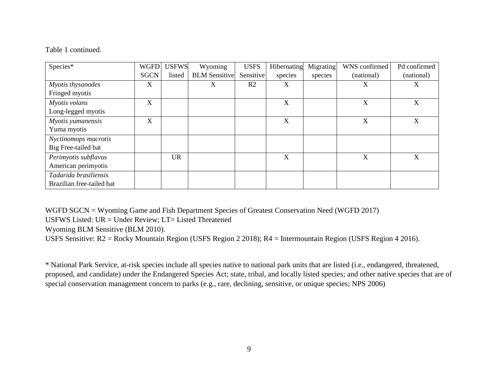#### Table 1 continued.

| Species*                  | <b>WGFD</b> | <b>USFWS</b> | Wyoming              | <b>USFS</b>    | Hibernating               | Migrating | WNS confirmed | Pd confirmed |
|---------------------------|-------------|--------------|----------------------|----------------|---------------------------|-----------|---------------|--------------|
|                           | <b>SGCN</b> | listed       | <b>BLM</b> Sensitive | Sensitive      | species                   | species   | (national)    | (national)   |
| Myotis thysanodes         | X           |              | X                    | R <sub>2</sub> | X                         |           | X             | X            |
| Fringed myotis            |             |              |                      |                |                           |           |               |              |
| Myotis volans             | X           |              |                      |                | $\boldsymbol{\mathrm{X}}$ |           | X             | X            |
| Long-legged myotis        |             |              |                      |                |                           |           |               |              |
| Myotis yumanensis         | X           |              |                      |                | $\boldsymbol{\mathrm{X}}$ |           | X             | X            |
| Yuma myotis               |             |              |                      |                |                           |           |               |              |
| Nyctinomops macrotis      |             |              |                      |                |                           |           |               |              |
| Big Free-tailed bat       |             |              |                      |                |                           |           |               |              |
| Perimyotis subflavus      |             | <b>UR</b>    |                      |                | $\boldsymbol{\mathrm{X}}$ |           | X             | X            |
| American perimyotis       |             |              |                      |                |                           |           |               |              |
| Tadarida brasiliensis     |             |              |                      |                |                           |           |               |              |
| Brazilian free-tailed bat |             |              |                      |                |                           |           |               |              |

WGFD SGCN = Wyoming Game and Fish Department Species of Greatest Conservation Need (WGFD 2017)

USFWS Listed: UR = Under Review; LT= Listed Threatened

Wyoming BLM Sensitive (BLM 2010).

USFS Sensitive: R2 = Rocky Mountain Region (USFS Region 2 2018); R4 = Intermountain Region (USFS Region 4 2016).

\* National Park Service, at-risk species include all species native to national park units that are listed (i.e., endangered, threatened, proposed, and candidate) under the Endangered Species Act; state, tribal, and locally listed species; and other native species that are of special conservation management concern to parks (e.g., rare, declining, sensitive, or unique species; NPS 2006)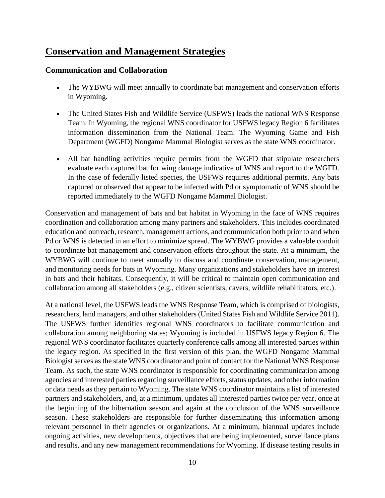# <span id="page-12-0"></span>**Conservation and Management Strategies**

## <span id="page-12-1"></span>**Communication and Collaboration**

- The WYBWG will meet annually to coordinate bat management and conservation efforts in Wyoming.
- The United States Fish and Wildlife Service (USFWS) leads the national WNS Response Team. In Wyoming, the regional WNS coordinator for USFWS legacy Region 6 facilitates information dissemination from the National Team. The Wyoming Game and Fish Department (WGFD) Nongame Mammal Biologist serves as the state WNS coordinator.
- All bat handling activities require permits from the WGFD that stipulate researchers evaluate each captured bat for wing damage indicative of WNS and report to the WGFD. In the case of federally listed species, the USFWS requires additional permits. Any bats captured or observed that appear to be infected with Pd or symptomatic of WNS should be reported immediately to the WGFD Nongame Mammal Biologist.

Conservation and management of bats and bat habitat in Wyoming in the face of WNS requires coordination and collaboration among many partners and stakeholders. This includes coordinated education and outreach, research, management actions, and communication both prior to and when Pd or WNS is detected in an effort to minimize spread. The WYBWG provides a valuable conduit to coordinate bat management and conservation efforts throughout the state. At a minimum, the WYBWG will continue to meet annually to discuss and coordinate conservation, management, and monitoring needs for bats in Wyoming. Many organizations and stakeholders have an interest in bats and their habitats. Consequently, it will be critical to maintain open communication and collaboration among all stakeholders (e.g., citizen scientists, cavers, wildlife rehabilitators, etc.).

At a national level, the USFWS leads the WNS Response Team, which is comprised of biologists, researchers, land managers, and other stakeholders (United States Fish and Wildlife Service 2011). The USFWS further identifies regional WNS coordinators to facilitate communication and collaboration among neighboring states; Wyoming is included in USFWS legacy Region 6. The regional WNS coordinator facilitates quarterly conference calls among all interested parties within the legacy region. As specified in the first version of this plan, the WGFD Nongame Mammal Biologist serves as the state WNS coordinator and point of contact for the National WNS Response Team. As such, the state WNS coordinator is responsible for coordinating communication among agencies and interested parties regarding surveillance efforts, status updates, and other information or data needs as they pertain to Wyoming. The state WNS coordinator maintains a list of interested partners and stakeholders, and, at a minimum, updates all interested parties twice per year, once at the beginning of the hibernation season and again at the conclusion of the WNS surveillance season. These stakeholders are responsible for further disseminating this information among relevant personnel in their agencies or organizations. At a minimum, biannual updates include ongoing activities, new developments, objectives that are being implemented, surveillance plans and results, and any new management recommendations for Wyoming. If disease testing results in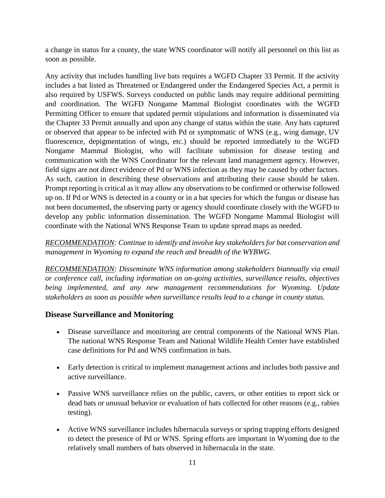a change in status for a county, the state WNS coordinator will notify all personnel on this list as soon as possible.

Any activity that includes handling live bats requires a WGFD Chapter 33 Permit. If the activity includes a bat listed as Threatened or Endangered under the Endangered Species Act, a permit is also required by USFWS. Surveys conducted on public lands may require additional permitting and coordination. The WGFD Nongame Mammal Biologist coordinates with the WGFD Permitting Officer to ensure that updated permit stipulations and information is disseminated via the Chapter 33 Permit annually and upon any change of status within the state. Any bats captured or observed that appear to be infected with Pd or symptomatic of WNS (e.g., wing damage, UV fluorescence, depigmentation of wings, etc.) should be reported immediately to the WGFD Nongame Mammal Biologist, who will facilitate submission for disease testing and communication with the WNS Coordinator for the relevant land management agency. However, field signs are not direct evidence of Pd or WNS infection as they may be caused by other factors. As such, caution in describing these observations and attributing their cause should be taken. Prompt reporting is critical as it may allow any observations to be confirmed or otherwise followed up on. If Pd or WNS is detected in a county or in a bat species for which the fungus or disease has not been documented, the observing party or agency should coordinate closely with the WGFD to develop any public information dissemination. The WGFD Nongame Mammal Biologist will coordinate with the National WNS Response Team to update spread maps as needed.

*RECOMMENDATION: Continue to identify and involve key stakeholders for bat conservation and management in Wyoming to expand the reach and breadth of the WYBWG.*

*RECOMMENDATION: Disseminate WNS information among stakeholders biannually via email or conference call, including information on on-going activities, surveillance results, objectives being implemented, and any new management recommendations for Wyoming. Update stakeholders as soon as possible when surveillance results lead to a change in county status.*

## <span id="page-13-0"></span>**Disease Surveillance and Monitoring**

- Disease surveillance and monitoring are central components of the National WNS Plan. The national WNS Response Team and National Wildlife Health Center have established case definitions for Pd and WNS confirmation in bats.
- Early detection is critical to implement management actions and includes both passive and active surveillance.
- Passive WNS surveillance relies on the public, cavers, or other entities to report sick or dead bats or unusual behavior or evaluation of bats collected for other reasons (e.g., rabies testing).
- Active WNS surveillance includes hibernacula surveys or spring trapping efforts designed to detect the presence of Pd or WNS. Spring efforts are important in Wyoming due to the relatively small numbers of bats observed in hibernacula in the state.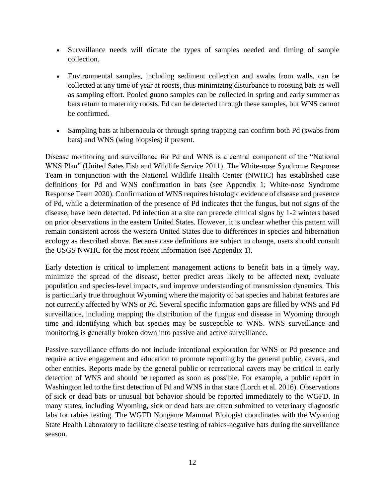- Surveillance needs will dictate the types of samples needed and timing of sample collection.
- Environmental samples, including sediment collection and swabs from walls, can be collected at any time of year at roosts, thus minimizing disturbance to roosting bats as well as sampling effort. Pooled guano samples can be collected in spring and early summer as bats return to maternity roosts. Pd can be detected through these samples, but WNS cannot be confirmed.
- Sampling bats at hibernacula or through spring trapping can confirm both Pd (swabs from bats) and WNS (wing biopsies) if present.

Disease monitoring and surveillance for Pd and WNS is a central component of the "National WNS Plan" (United Sates Fish and Wildlife Service 2011). The White-nose Syndrome Response Team in conjunction with the National Wildlife Health Center (NWHC) has established case definitions for Pd and WNS confirmation in bats (see Appendix 1; White-nose Syndrome Response Team 2020). Confirmation of WNS requires histologic evidence of disease and presence of Pd, while a determination of the presence of Pd indicates that the fungus, but not signs of the disease, have been detected. Pd infection at a site can precede clinical signs by 1-2 winters based on prior observations in the eastern United States. However, it is unclear whether this pattern will remain consistent across the western United States due to differences in species and hibernation ecology as described above. Because case definitions are subject to change, users should consult the USGS NWHC for the most recent information (see Appendix 1).

Early detection is critical to implement management actions to benefit bats in a timely way, minimize the spread of the disease, better predict areas likely to be affected next, evaluate population and species-level impacts, and improve understanding of transmission dynamics. This is particularly true throughout Wyoming where the majority of bat species and habitat features are not currently affected by WNS or Pd. Several specific information gaps are filled by WNS and Pd surveillance, including mapping the distribution of the fungus and disease in Wyoming through time and identifying which bat species may be susceptible to WNS. WNS surveillance and monitoring is generally broken down into passive and active surveillance.

Passive surveillance efforts do not include intentional exploration for WNS or Pd presence and require active engagement and education to promote reporting by the general public, cavers, and other entities. Reports made by the general public or recreational cavers may be critical in early detection of WNS and should be reported as soon as possible. For example, a public report in Washington led to the first detection of Pd and WNS in that state (Lorch et al. 2016). Observations of sick or dead bats or unusual bat behavior should be reported immediately to the WGFD. In many states, including Wyoming, sick or dead bats are often submitted to veterinary diagnostic labs for rabies testing. The WGFD Nongame Mammal Biologist coordinates with the Wyoming State Health Laboratory to facilitate disease testing of rabies-negative bats during the surveillance season.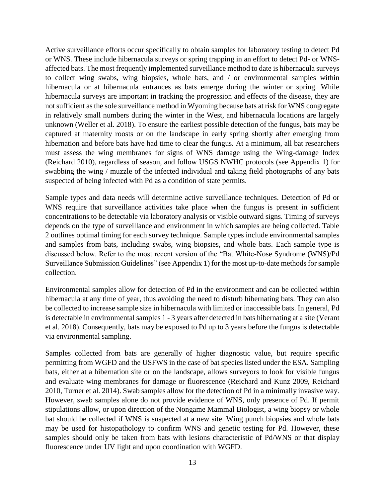Active surveillance efforts occur specifically to obtain samples for laboratory testing to detect Pd or WNS. These include hibernacula surveys or spring trapping in an effort to detect Pd- or WNSaffected bats. The most frequently implemented surveillance method to date is hibernacula surveys to collect wing swabs, wing biopsies, whole bats, and / or environmental samples within hibernacula or at hibernacula entrances as bats emerge during the winter or spring. While hibernacula surveys are important in tracking the progression and effects of the disease, they are not sufficient as the sole surveillance method in Wyoming because bats at risk for WNS congregate in relatively small numbers during the winter in the West, and hibernacula locations are largely unknown (Weller et al. 2018). To ensure the earliest possible detection of the fungus, bats may be captured at maternity roosts or on the landscape in early spring shortly after emerging from hibernation and before bats have had time to clear the fungus. At a minimum, all bat researchers must assess the wing membranes for signs of WNS damage using the Wing-damage Index (Reichard 2010), regardless of season, and follow USGS NWHC protocols (see Appendix 1) for swabbing the wing / muzzle of the infected individual and taking field photographs of any bats suspected of being infected with Pd as a condition of state permits.

Sample types and data needs will determine active surveillance techniques. Detection of Pd or WNS require that surveillance activities take place when the fungus is present in sufficient concentrations to be detectable via laboratory analysis or visible outward signs. Timing of surveys depends on the type of surveillance and environment in which samples are being collected. Table 2 outlines optimal timing for each survey technique. Sample types include environmental samples and samples from bats, including swabs, wing biopsies, and whole bats. Each sample type is discussed below. Refer to the most recent version of the "Bat White-Nose Syndrome (WNS)/Pd Surveillance Submission Guidelines" (see Appendix 1) for the most up-to-date methods for sample collection.

Environmental samples allow for detection of Pd in the environment and can be collected within hibernacula at any time of year, thus avoiding the need to disturb hibernating bats. They can also be collected to increase sample size in hibernacula with limited or inaccessible bats. In general, Pd is detectable in environmental samples 1 - 3 years after detected in bats hibernating at a site (Verant et al. 2018). Consequently, bats may be exposed to Pd up to 3 years before the fungus is detectable via environmental sampling.

Samples collected from bats are generally of higher diagnostic value, but require specific permitting from WGFD and the USFWS in the case of bat species listed under the ESA. Sampling bats, either at a hibernation site or on the landscape, allows surveyors to look for visible fungus and evaluate wing membranes for damage or fluorescence (Reichard and Kunz 2009, Reichard 2010, Turner et al. 2014). Swab samples allow for the detection of Pd in a minimally invasive way. However, swab samples alone do not provide evidence of WNS, only presence of Pd. If permit stipulations allow, or upon direction of the Nongame Mammal Biologist, a wing biopsy or whole bat should be collected if WNS is suspected at a new site. Wing punch biopsies and whole bats may be used for histopathology to confirm WNS and genetic testing for Pd. However, these samples should only be taken from bats with lesions characteristic of Pd/WNS or that display fluorescence under UV light and upon coordination with WGFD.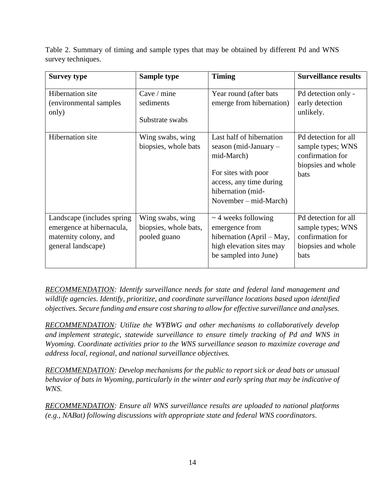Table 2. Summary of timing and sample types that may be obtained by different Pd and WNS survey techniques.

| <b>Survey type</b>                                                                                      | Sample type                                               | <b>Timing</b>                                                                                                                                                     | <b>Surveillance results</b>                                                                        |
|---------------------------------------------------------------------------------------------------------|-----------------------------------------------------------|-------------------------------------------------------------------------------------------------------------------------------------------------------------------|----------------------------------------------------------------------------------------------------|
| <b>Hibernation</b> site<br>(environmental samples)<br>only)                                             | Cave / mine<br>sediments<br>Substrate swabs               | Year round (after bats<br>emerge from hibernation)                                                                                                                | Pd detection only -<br>early detection<br>unlikely.                                                |
| <b>Hibernation</b> site                                                                                 | Wing swabs, wing<br>biopsies, whole bats                  | Last half of hibernation<br>season (mid-January $-$<br>mid-March)<br>For sites with poor<br>access, any time during<br>hibernation (mid-<br>November – mid-March) | Pd detection for all<br>sample types; WNS<br>confirmation for<br>biopsies and whole<br><b>bats</b> |
| Landscape (includes spring)<br>emergence at hibernacula,<br>maternity colony, and<br>general landscape) | Wing swabs, wing<br>biopsies, whole bats,<br>pooled guano | $\sim$ 4 weeks following<br>emergence from<br>hibernation (April – May,<br>high elevation sites may<br>be sampled into June)                                      | Pd detection for all<br>sample types; WNS<br>confirmation for<br>biopsies and whole<br>bats        |

*RECOMMENDATION: Identify surveillance needs for state and federal land management and wildlife agencies. Identify, prioritize, and coordinate surveillance locations based upon identified objectives. Secure funding and ensure cost sharing to allow for effective surveillance and analyses.*

*RECOMMENDATION: Utilize the WYBWG and other mechanisms to collaboratively develop and implement strategic, statewide surveillance to ensure timely tracking of Pd and WNS in Wyoming. Coordinate activities prior to the WNS surveillance season to maximize coverage and address local, regional, and national surveillance objectives.*

*RECOMMENDATION: Develop mechanisms for the public to report sick or dead bats or unusual behavior of bats in Wyoming, particularly in the winter and early spring that may be indicative of WNS.*

*RECOMMENDATION: Ensure all WNS surveillance results are uploaded to national platforms (e.g., NABat) following discussions with appropriate state and federal WNS coordinators.*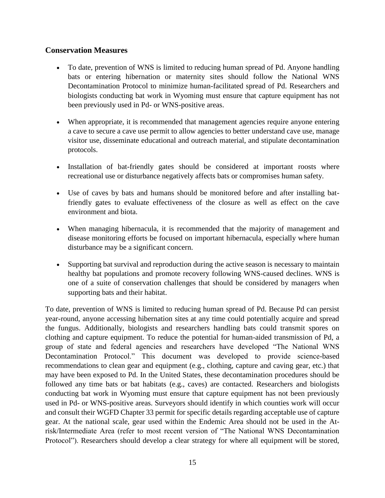## <span id="page-17-0"></span>**Conservation Measures**

- To date, prevention of WNS is limited to reducing human spread of Pd. Anyone handling bats or entering hibernation or maternity sites should follow the National WNS Decontamination Protocol to minimize human-facilitated spread of Pd. Researchers and biologists conducting bat work in Wyoming must ensure that capture equipment has not been previously used in Pd- or WNS-positive areas.
- When appropriate, it is recommended that management agencies require anyone entering a cave to secure a cave use permit to allow agencies to better understand cave use, manage visitor use, disseminate educational and outreach material, and stipulate decontamination protocols.
- Installation of bat-friendly gates should be considered at important roosts where recreational use or disturbance negatively affects bats or compromises human safety.
- Use of caves by bats and humans should be monitored before and after installing batfriendly gates to evaluate effectiveness of the closure as well as effect on the cave environment and biota.
- When managing hibernacula, it is recommended that the majority of management and disease monitoring efforts be focused on important hibernacula, especially where human disturbance may be a significant concern.
- Supporting bat survival and reproduction during the active season is necessary to maintain healthy bat populations and promote recovery following WNS-caused declines. WNS is one of a suite of conservation challenges that should be considered by managers when supporting bats and their habitat.

To date, prevention of WNS is limited to reducing human spread of Pd. Because Pd can persist year-round, anyone accessing hibernation sites at any time could potentially acquire and spread the fungus. Additionally, biologists and researchers handling bats could transmit spores on clothing and capture equipment. To reduce the potential for human-aided transmission of Pd, a group of state and federal agencies and researchers have developed "The National WNS Decontamination Protocol." This document was developed to provide science-based recommendations to clean gear and equipment (e.g., clothing, capture and caving gear, etc.) that may have been exposed to Pd. In the United States, these decontamination procedures should be followed any time bats or bat habitats (e.g., caves) are contacted. Researchers and biologists conducting bat work in Wyoming must ensure that capture equipment has not been previously used in Pd- or WNS-positive areas. Surveyors should identify in which counties work will occur and consult their WGFD Chapter 33 permit for specific details regarding acceptable use of capture gear. At the national scale, gear used within the Endemic Area should not be used in the Atrisk/Intermediate Area (refer to most recent version of "The National WNS Decontamination Protocol"). Researchers should develop a clear strategy for where all equipment will be stored,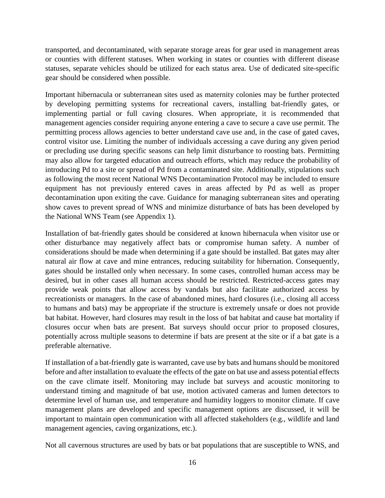transported, and decontaminated, with separate storage areas for gear used in management areas or counties with different statuses. When working in states or counties with different disease statuses, separate vehicles should be utilized for each status area. Use of dedicated site-specific gear should be considered when possible.

Important hibernacula or subterranean sites used as maternity colonies may be further protected by developing permitting systems for recreational cavers, installing bat-friendly gates, or implementing partial or full caving closures. When appropriate, it is recommended that management agencies consider requiring anyone entering a cave to secure a cave use permit. The permitting process allows agencies to better understand cave use and, in the case of gated caves, control visitor use. Limiting the number of individuals accessing a cave during any given period or precluding use during specific seasons can help limit disturbance to roosting bats. Permitting may also allow for targeted education and outreach efforts, which may reduce the probability of introducing Pd to a site or spread of Pd from a contaminated site. Additionally, stipulations such as following the most recent National WNS Decontamination Protocol may be included to ensure equipment has not previously entered caves in areas affected by Pd as well as proper decontamination upon exiting the cave. Guidance for managing subterranean sites and operating show caves to prevent spread of WNS and minimize disturbance of bats has been developed by the National WNS Team (see Appendix 1).

Installation of bat-friendly gates should be considered at known hibernacula when visitor use or other disturbance may negatively affect bats or compromise human safety. A number of considerations should be made when determining if a gate should be installed. Bat gates may alter natural air flow at cave and mine entrances, reducing suitability for hibernation. Consequently, gates should be installed only when necessary. In some cases, controlled human access may be desired, but in other cases all human access should be restricted. Restricted-access gates may provide weak points that allow access by vandals but also facilitate authorized access by recreationists or managers. In the case of abandoned mines, hard closures (i.e., closing all access to humans and bats) may be appropriate if the structure is extremely unsafe or does not provide bat habitat. However, hard closures may result in the loss of bat habitat and cause bat mortality if closures occur when bats are present. Bat surveys should occur prior to proposed closures, potentially across multiple seasons to determine if bats are present at the site or if a bat gate is a preferable alternative.

If installation of a bat-friendly gate is warranted, cave use by bats and humans should be monitored before and after installation to evaluate the effects of the gate on bat use and assess potential effects on the cave climate itself. Monitoring may include bat surveys and acoustic monitoring to understand timing and magnitude of bat use, motion activated cameras and lumen detectors to determine level of human use, and temperature and humidity loggers to monitor climate. If cave management plans are developed and specific management options are discussed, it will be important to maintain open communication with all affected stakeholders (e.g., wildlife and land management agencies, caving organizations, etc.).

Not all cavernous structures are used by bats or bat populations that are susceptible to WNS, and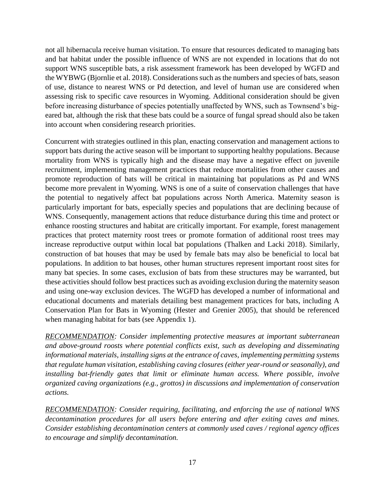not all hibernacula receive human visitation. To ensure that resources dedicated to managing bats and bat habitat under the possible influence of WNS are not expended in locations that do not support WNS susceptible bats, a risk assessment framework has been developed by WGFD and the WYBWG (Bjornlie et al. 2018). Considerations such as the numbers and species of bats, season of use, distance to nearest WNS or Pd detection, and level of human use are considered when assessing risk to specific cave resources in Wyoming. Additional consideration should be given before increasing disturbance of species potentially unaffected by WNS, such as Townsend's bigeared bat, although the risk that these bats could be a source of fungal spread should also be taken into account when considering research priorities.

Concurrent with strategies outlined in this plan, enacting conservation and management actions to support bats during the active season will be important to supporting healthy populations. Because mortality from WNS is typically high and the disease may have a negative effect on juvenile recruitment, implementing management practices that reduce mortalities from other causes and promote reproduction of bats will be critical in maintaining bat populations as Pd and WNS become more prevalent in Wyoming. WNS is one of a suite of conservation challenges that have the potential to negatively affect bat populations across North America. Maternity season is particularly important for bats, especially species and populations that are declining because of WNS. Consequently, management actions that reduce disturbance during this time and protect or enhance roosting structures and habitat are critically important. For example, forest management practices that protect maternity roost trees or promote formation of additional roost trees may increase reproductive output within local bat populations (Thalken and Lacki 2018). Similarly, construction of bat houses that may be used by female bats may also be beneficial to local bat populations. In addition to bat houses, other human structures represent important roost sites for many bat species. In some cases, exclusion of bats from these structures may be warranted, but these activities should follow best practices such as avoiding exclusion during the maternity season and using one-way exclusion devices. The WGFD has developed a number of informational and educational documents and materials detailing best management practices for bats, including A Conservation Plan for Bats in Wyoming (Hester and Grenier 2005), that should be referenced when managing habitat for bats (see Appendix 1).

*RECOMMENDATION: Consider implementing protective measures at important subterranean and above-ground roosts where potential conflicts exist, such as developing and disseminating informational materials, installing signs at the entrance of caves, implementing permitting systems that regulate human visitation, establishing caving closures (either year-round or seasonally), and installing bat-friendly gates that limit or eliminate human access. Where possible, involve organized caving organizations (e.g., grottos) in discussions and implementation of conservation actions.*

*RECOMMENDATION: Consider requiring, facilitating, and enforcing the use of national WNS decontamination procedures for all users before entering and after exiting caves and mines. Consider establishing decontamination centers at commonly used caves / regional agency offices to encourage and simplify decontamination.*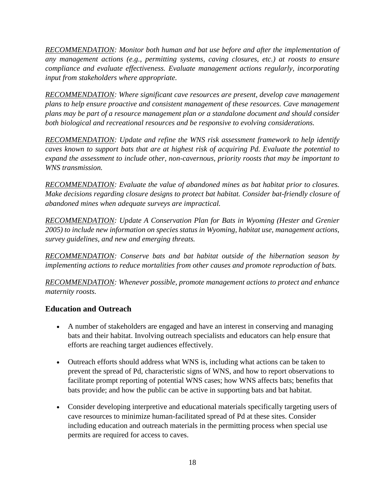*RECOMMENDATION: Monitor both human and bat use before and after the implementation of any management actions (e.g., permitting systems, caving closures, etc.) at roosts to ensure compliance and evaluate effectiveness. Evaluate management actions regularly, incorporating input from stakeholders where appropriate.*

*RECOMMENDATION: Where significant cave resources are present, develop cave management plans to help ensure proactive and consistent management of these resources. Cave management plans may be part of a resource management plan or a standalone document and should consider both biological and recreational resources and be responsive to evolving considerations.*

*RECOMMENDATION: Update and refine the WNS risk assessment framework to help identify caves known to support bats that are at highest risk of acquiring Pd. Evaluate the potential to expand the assessment to include other, non-cavernous, priority roosts that may be important to WNS transmission.*

*RECOMMENDATION: Evaluate the value of abandoned mines as bat habitat prior to closures. Make decisions regarding closure designs to protect bat habitat. Consider bat-friendly closure of abandoned mines when adequate surveys are impractical.* 

*RECOMMENDATION: Update A Conservation Plan for Bats in Wyoming (Hester and Grenier 2005) to include new information on species status in Wyoming, habitat use, management actions, survey guidelines, and new and emerging threats.*

*RECOMMENDATION: Conserve bats and bat habitat outside of the hibernation season by implementing actions to reduce mortalities from other causes and promote reproduction of bats.*

*RECOMMENDATION: Whenever possible, promote management actions to protect and enhance maternity roosts.*

# <span id="page-20-0"></span>**Education and Outreach**

- A number of stakeholders are engaged and have an interest in conserving and managing bats and their habitat. Involving outreach specialists and educators can help ensure that efforts are reaching target audiences effectively.
- Outreach efforts should address what WNS is, including what actions can be taken to prevent the spread of Pd, characteristic signs of WNS, and how to report observations to facilitate prompt reporting of potential WNS cases; how WNS affects bats; benefits that bats provide; and how the public can be active in supporting bats and bat habitat.
- Consider developing interpretive and educational materials specifically targeting users of cave resources to minimize human-facilitated spread of Pd at these sites. Consider including education and outreach materials in the permitting process when special use permits are required for access to caves.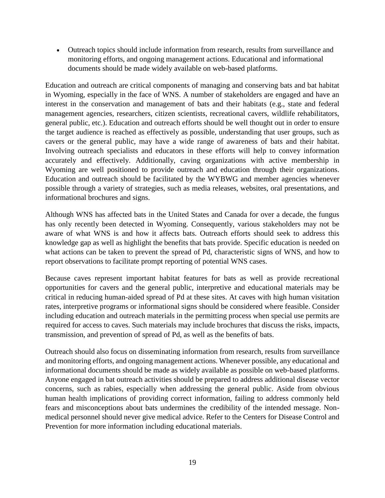Outreach topics should include information from research, results from surveillance and monitoring efforts, and ongoing management actions. Educational and informational documents should be made widely available on web-based platforms.

Education and outreach are critical components of managing and conserving bats and bat habitat in Wyoming, especially in the face of WNS. A number of stakeholders are engaged and have an interest in the conservation and management of bats and their habitats (e.g., state and federal management agencies, researchers, citizen scientists, recreational cavers, wildlife rehabilitators, general public, etc.). Education and outreach efforts should be well thought out in order to ensure the target audience is reached as effectively as possible, understanding that user groups, such as cavers or the general public, may have a wide range of awareness of bats and their habitat. Involving outreach specialists and educators in these efforts will help to convey information accurately and effectively. Additionally, caving organizations with active membership in Wyoming are well positioned to provide outreach and education through their organizations. Education and outreach should be facilitated by the WYBWG and member agencies whenever possible through a variety of strategies, such as media releases, websites, oral presentations, and informational brochures and signs.

Although WNS has affected bats in the United States and Canada for over a decade, the fungus has only recently been detected in Wyoming. Consequently, various stakeholders may not be aware of what WNS is and how it affects bats. Outreach efforts should seek to address this knowledge gap as well as highlight the benefits that bats provide. Specific education is needed on what actions can be taken to prevent the spread of Pd, characteristic signs of WNS, and how to report observations to facilitate prompt reporting of potential WNS cases.

Because caves represent important habitat features for bats as well as provide recreational opportunities for cavers and the general public, interpretive and educational materials may be critical in reducing human-aided spread of Pd at these sites. At caves with high human visitation rates, interpretive programs or informational signs should be considered where feasible. Consider including education and outreach materials in the permitting process when special use permits are required for access to caves. Such materials may include brochures that discuss the risks, impacts, transmission, and prevention of spread of Pd, as well as the benefits of bats.

Outreach should also focus on disseminating information from research, results from surveillance and monitoring efforts, and ongoing management actions. Whenever possible, any educational and informational documents should be made as widely available as possible on web-based platforms. Anyone engaged in bat outreach activities should be prepared to address additional disease vector concerns, such as rabies, especially when addressing the general public. Aside from obvious human health implications of providing correct information, failing to address commonly held fears and misconceptions about bats undermines the credibility of the intended message. Nonmedical personnel should never give medical advice. Refer to the Centers for Disease Control and Prevention for more information including educational materials.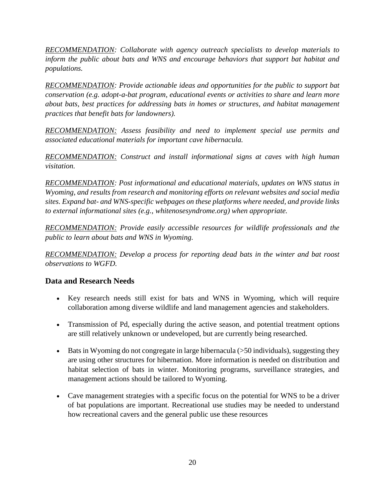*RECOMMENDATION: Collaborate with agency outreach specialists to develop materials to inform the public about bats and WNS and encourage behaviors that support bat habitat and populations.*

*RECOMMENDATION: Provide actionable ideas and opportunities for the public to support bat conservation (e.g. adopt-a-bat program, educational events or activities to share and learn more about bats, best practices for addressing bats in homes or structures, and habitat management practices that benefit bats for landowners).*

*RECOMMENDATION: Assess feasibility and need to implement special use permits and associated educational materials for important cave hibernacula.*

*RECOMMENDATION: Construct and install informational signs at caves with high human visitation.*

*RECOMMENDATION: Post informational and educational materials, updates on WNS status in Wyoming, and results from research and monitoring efforts on relevant websites and social media sites. Expand bat- and WNS-specific webpages on these platforms where needed, and provide links to external informational sites (e.g., whitenosesyndrome.org) when appropriate.*

*RECOMMENDATION: Provide easily accessible resources for wildlife professionals and the public to learn about bats and WNS in Wyoming.*

*RECOMMENDATION: Develop a process for reporting dead bats in the winter and bat roost observations to WGFD.*

# <span id="page-22-0"></span>**Data and Research Needs**

- Key research needs still exist for bats and WNS in Wyoming, which will require collaboration among diverse wildlife and land management agencies and stakeholders.
- Transmission of Pd, especially during the active season, and potential treatment options are still relatively unknown or undeveloped, but are currently being researched.
- Bats in Wyoming do not congregate in large hibernacula  $($ >50 individuals), suggesting they are using other structures for hibernation. More information is needed on distribution and habitat selection of bats in winter. Monitoring programs, surveillance strategies, and management actions should be tailored to Wyoming.
- Cave management strategies with a specific focus on the potential for WNS to be a driver of bat populations are important. Recreational use studies may be needed to understand how recreational cavers and the general public use these resources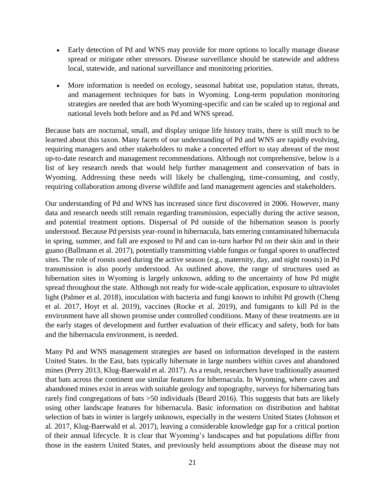- Early detection of Pd and WNS may provide for more options to locally manage disease spread or mitigate other stressors. Disease surveillance should be statewide and address local, statewide, and national surveillance and monitoring priorities.
- More information is needed on ecology, seasonal habitat use, population status, threats, and management techniques for bats in Wyoming. Long-term population monitoring strategies are needed that are both Wyoming-specific and can be scaled up to regional and national levels both before and as Pd and WNS spread.

Because bats are nocturnal, small, and display unique life history traits, there is still much to be learned about this taxon. Many facets of our understanding of Pd and WNS are rapidly evolving, requiring managers and other stakeholders to make a concerted effort to stay abreast of the most up-to-date research and management recommendations. Although not comprehensive, below is a list of key research needs that would help further management and conservation of bats in Wyoming. Addressing these needs will likely be challenging, time-consuming, and costly, requiring collaboration among diverse wildlife and land management agencies and stakeholders.

Our understanding of Pd and WNS has increased since first discovered in 2006. However, many data and research needs still remain regarding transmission, especially during the active season, and potential treatment options. Dispersal of Pd outside of the hibernation season is poorly understood. Because Pd persists year-round in hibernacula, bats entering contaminated hibernacula in spring, summer, and fall are exposed to Pd and can in-turn harbor Pd on their skin and in their guano (Ballmann et al. 2017), potentially transmitting viable fungus or fungal spores to unaffected sites. The role of roosts used during the active season (e.g., maternity, day, and night roosts) in Pd transmission is also poorly understood. As outlined above, the range of structures used as hibernation sites in Wyoming is largely unknown, adding to the uncertainty of how Pd might spread throughout the state. Although not ready for wide-scale application, exposure to ultraviolet light (Palmer et al. 2018), inoculation with bacteria and fungi known to inhibit Pd growth (Cheng et al. 2017, Hoyt et al. 2019), vaccines (Rocke et al. 2019), and fumigants to kill Pd in the environment have all shown promise under controlled conditions. Many of these treatments are in the early stages of development and further evaluation of their efficacy and safety, both for bats and the hibernacula environment, is needed.

Many Pd and WNS management strategies are based on information developed in the eastern United States. In the East, bats typically hibernate in large numbers within caves and abandoned mines (Perry 2013, Klug-Baerwald et al. 2017). As a result, researchers have traditionally assumed that bats across the continent use similar features for hibernacula. In Wyoming, where caves and abandoned mines exist in areas with suitable geology and topography, surveys for hibernating bats rarely find congregations of bats >50 individuals (Beard 2016). This suggests that bats are likely using other landscape features for hibernacula. Basic information on distribution and habitat selection of bats in winter is largely unknown, especially in the western United States (Johnson et al. 2017, Klug-Baerwald et al. 2017), leaving a considerable knowledge gap for a critical portion of their annual lifecycle. It is clear that Wyoming's landscapes and bat populations differ from those in the eastern United States, and previously held assumptions about the disease may not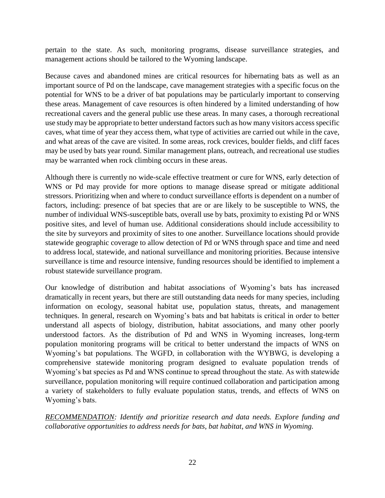pertain to the state. As such, monitoring programs, disease surveillance strategies, and management actions should be tailored to the Wyoming landscape.

Because caves and abandoned mines are critical resources for hibernating bats as well as an important source of Pd on the landscape, cave management strategies with a specific focus on the potential for WNS to be a driver of bat populations may be particularly important to conserving these areas. Management of cave resources is often hindered by a limited understanding of how recreational cavers and the general public use these areas. In many cases, a thorough recreational use study may be appropriate to better understand factors such as how many visitors access specific caves, what time of year they access them, what type of activities are carried out while in the cave, and what areas of the cave are visited. In some areas, rock crevices, boulder fields, and cliff faces may be used by bats year round. Similar management plans, outreach, and recreational use studies may be warranted when rock climbing occurs in these areas.

Although there is currently no wide-scale effective treatment or cure for WNS, early detection of WNS or Pd may provide for more options to manage disease spread or mitigate additional stressors. Prioritizing when and where to conduct surveillance efforts is dependent on a number of factors, including: presence of bat species that are or are likely to be susceptible to WNS, the number of individual WNS-susceptible bats, overall use by bats, proximity to existing Pd or WNS positive sites, and level of human use. Additional considerations should include accessibility to the site by surveyors and proximity of sites to one another. Surveillance locations should provide statewide geographic coverage to allow detection of Pd or WNS through space and time and need to address local, statewide, and national surveillance and monitoring priorities. Because intensive surveillance is time and resource intensive, funding resources should be identified to implement a robust statewide surveillance program.

Our knowledge of distribution and habitat associations of Wyoming's bats has increased dramatically in recent years, but there are still outstanding data needs for many species, including information on ecology, seasonal habitat use, population status, threats, and management techniques. In general, research on Wyoming's bats and bat habitats is critical in order to better understand all aspects of biology, distribution, habitat associations, and many other poorly understood factors. As the distribution of Pd and WNS in Wyoming increases, long-term population monitoring programs will be critical to better understand the impacts of WNS on Wyoming's bat populations. The WGFD, in collaboration with the WYBWG, is developing a comprehensive statewide monitoring program designed to evaluate population trends of Wyoming's bat species as Pd and WNS continue to spread throughout the state. As with statewide surveillance, population monitoring will require continued collaboration and participation among a variety of stakeholders to fully evaluate population status, trends, and effects of WNS on Wyoming's bats.

*RECOMMENDATION: Identify and prioritize research and data needs. Explore funding and collaborative opportunities to address needs for bats, bat habitat, and WNS in Wyoming.*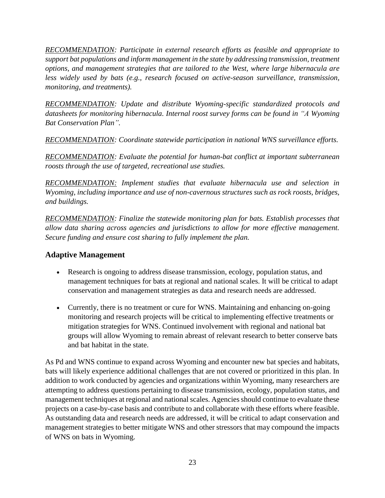*RECOMMENDATION: Participate in external research efforts as feasible and appropriate to support bat populations and inform management in the state by addressing transmission, treatment options, and management strategies that are tailored to the West, where large hibernacula are less widely used by bats (e.g., research focused on active-season surveillance, transmission, monitoring, and treatments).*

*RECOMMENDATION: Update and distribute Wyoming-specific standardized protocols and datasheets for monitoring hibernacula. Internal roost survey forms can be found in "A Wyoming Bat Conservation Plan".*

*RECOMMENDATION: Coordinate statewide participation in national WNS surveillance efforts.* 

*RECOMMENDATION: Evaluate the potential for human-bat conflict at important subterranean roosts through the use of targeted, recreational use studies.*

*RECOMMENDATION: Implement studies that evaluate hibernacula use and selection in Wyoming, including importance and use of non-cavernous structures such as rock roosts, bridges, and buildings.*

*RECOMMENDATION: Finalize the statewide monitoring plan for bats. Establish processes that allow data sharing across agencies and jurisdictions to allow for more effective management. Secure funding and ensure cost sharing to fully implement the plan.*

# <span id="page-25-0"></span>**Adaptive Management**

- Research is ongoing to address disease transmission, ecology, population status, and management techniques for bats at regional and national scales. It will be critical to adapt conservation and management strategies as data and research needs are addressed.
- Currently, there is no treatment or cure for WNS. Maintaining and enhancing on-going monitoring and research projects will be critical to implementing effective treatments or mitigation strategies for WNS. Continued involvement with regional and national bat groups will allow Wyoming to remain abreast of relevant research to better conserve bats and bat habitat in the state.

As Pd and WNS continue to expand across Wyoming and encounter new bat species and habitats, bats will likely experience additional challenges that are not covered or prioritized in this plan. In addition to work conducted by agencies and organizations within Wyoming, many researchers are attempting to address questions pertaining to disease transmission, ecology, population status, and management techniques at regional and national scales. Agencies should continue to evaluate these projects on a case-by-case basis and contribute to and collaborate with these efforts where feasible. As outstanding data and research needs are addressed, it will be critical to adapt conservation and management strategies to better mitigate WNS and other stressors that may compound the impacts of WNS on bats in Wyoming.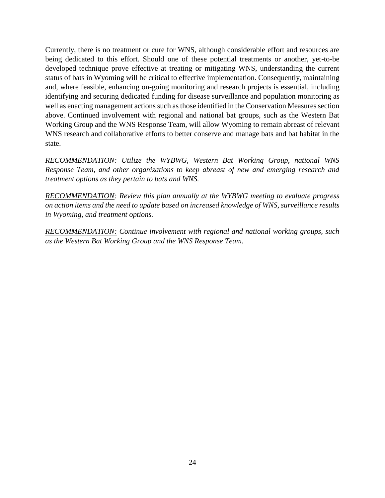Currently, there is no treatment or cure for WNS, although considerable effort and resources are being dedicated to this effort. Should one of these potential treatments or another, yet-to-be developed technique prove effective at treating or mitigating WNS, understanding the current status of bats in Wyoming will be critical to effective implementation. Consequently, maintaining and, where feasible, enhancing on-going monitoring and research projects is essential, including identifying and securing dedicated funding for disease surveillance and population monitoring as well as enacting management actions such as those identified in the Conservation Measures section above. Continued involvement with regional and national bat groups, such as the Western Bat Working Group and the WNS Response Team, will allow Wyoming to remain abreast of relevant WNS research and collaborative efforts to better conserve and manage bats and bat habitat in the state.

*RECOMMENDATION: Utilize the WYBWG, Western Bat Working Group, national WNS Response Team, and other organizations to keep abreast of new and emerging research and treatment options as they pertain to bats and WNS.*

*RECOMMENDATION: Review this plan annually at the WYBWG meeting to evaluate progress on action items and the need to update based on increased knowledge of WNS, surveillance results in Wyoming, and treatment options.*

*RECOMMENDATION: Continue involvement with regional and national working groups, such as the Western Bat Working Group and the WNS Response Team.*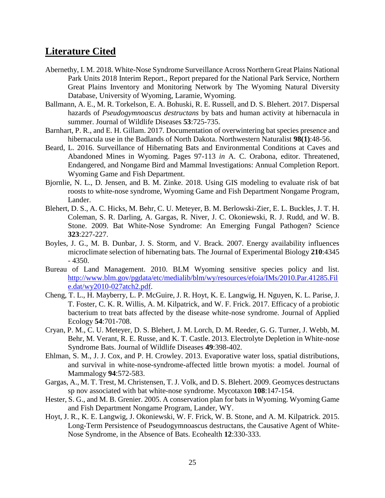# <span id="page-27-0"></span>**Literature Cited**

- Abernethy, I. M. 2018. White-Nose Syndrome Surveillance Across Northern Great Plains National Park Units 2018 Interim Report., Report prepared for the National Park Service, Northern Great Plains Inventory and Monitoring Network by The Wyoming Natural Diversity Database, University of Wyoming, Laramie, Wyoming.
- Ballmann, A. E., M. R. Torkelson, E. A. Bohuski, R. E. Russell, and D. S. Blehert. 2017. Dispersal hazards of *Pseudogymnoascus destructans* by bats and human activity at hibernacula in summer. Journal of Wildlife Diseases **53**:725-735.
- Barnhart, P. R., and E. H. Gillam. 2017. Documentation of overwintering bat species presence and hibernacula use in the Badlands of North Dakota. Northwestern Naturalist **98(1)**:48-56.
- Beard, L. 2016. Surveillance of Hibernating Bats and Environmental Conditions at Caves and Abandoned Mines in Wyoming. Pages 97-113 *in* A. C. Orabona, editor. Threatened, Endangered, and Nongame Bird and Mammal Investigations: Annual Completion Report. Wyoming Game and Fish Department.
- Bjornlie, N. L., D. Jensen, and B. M. Zinke. 2018. Using GIS modeling to evaluate risk of bat roosts to white-nose syndrome, Wyoming Game and Fish Department Nongame Program, Lander.
- Blehert, D. S., A. C. Hicks, M. Behr, C. U. Meteyer, B. M. Berlowski-Zier, E. L. Buckles, J. T. H. Coleman, S. R. Darling, A. Gargas, R. Niver, J. C. Okoniewski, R. J. Rudd, and W. B. Stone. 2009. Bat White-Nose Syndrome: An Emerging Fungal Pathogen? Science **323**:227-227.
- Boyles, J. G., M. B. Dunbar, J. S. Storm, and V. Brack. 2007. Energy availability influences microclimate selection of hibernating bats. The Journal of Experimental Biology **210**:4345  $-4350.$
- Bureau of Land Management. 2010. BLM Wyoming sensitive species policy and list. [http://www.blm.gov/pgdata/etc/medialib/blm/wy/resources/efoia/IMs/2010.Par.41285.Fil](http://www.blm.gov/pgdata/etc/medialib/blm/wy/resources/efoia/IMs/2010.Par.41285.File.dat/wy2010-027atch2.pdf) [e.dat/wy2010-027atch2.pdf.](http://www.blm.gov/pgdata/etc/medialib/blm/wy/resources/efoia/IMs/2010.Par.41285.File.dat/wy2010-027atch2.pdf)
- Cheng, T. L., H. Mayberry, L. P. McGuire, J. R. Hoyt, K. E. Langwig, H. Nguyen, K. L. Parise, J. T. Foster, C. K. R. Willis, A. M. Kilpatrick, and W. F. Frick. 2017. Efficacy of a probiotic bacterium to treat bats affected by the disease white-nose syndrome. Journal of Applied Ecology **54**:701-708.
- Cryan, P. M., C. U. Meteyer, D. S. Blehert, J. M. Lorch, D. M. Reeder, G. G. Turner, J. Webb, M. Behr, M. Verant, R. E. Russe, and K. T. Castle. 2013. Electrolyte Depletion in White-nose Syndrome Bats. Journal of Wildlife Diseases **49**:398-402.
- Ehlman, S. M., J. J. Cox, and P. H. Crowley. 2013. Evaporative water loss, spatial distributions, and survival in white-nose-syndrome-affected little brown myotis: a model. Journal of Mammalogy **94**:572-583.
- Gargas, A., M. T. Trest, M. Christensen, T. J. Volk, and D. S. Blehert. 2009. Geomyces destructans sp nov associated with bat white-nose syndrome. Mycotaxon **108**:147-154.
- Hester, S. G., and M. B. Grenier. 2005. A conservation plan for bats in Wyoming. Wyoming Game and Fish Department Nongame Program, Lander, WY.
- Hoyt, J. R., K. E. Langwig, J. Okoniewski, W. F. Frick, W. B. Stone, and A. M. Kilpatrick. 2015. Long-Term Persistence of Pseudogymnoascus destructans, the Causative Agent of White-Nose Syndrome, in the Absence of Bats. Ecohealth **12**:330-333.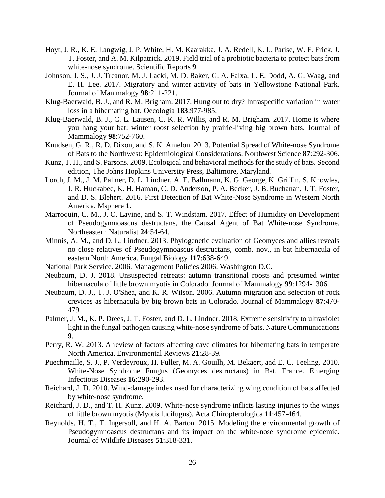- Hoyt, J. R., K. E. Langwig, J. P. White, H. M. Kaarakka, J. A. Redell, K. L. Parise, W. F. Frick, J. T. Foster, and A. M. Kilpatrick. 2019. Field trial of a probiotic bacteria to protect bats from white-nose syndrome. Scientific Reports **9**.
- Johnson, J. S., J. J. Treanor, M. J. Lacki, M. D. Baker, G. A. Falxa, L. E. Dodd, A. G. Waag, and E. H. Lee. 2017. Migratory and winter activity of bats in Yellowstone National Park. Journal of Mammalogy **98**:211-221.
- Klug-Baerwald, B. J., and R. M. Brigham. 2017. Hung out to dry? Intraspecific variation in water loss in a hibernating bat. Oecologia **183**:977-985.
- Klug-Baerwald, B. J., C. L. Lausen, C. K. R. Willis, and R. M. Brigham. 2017. Home is where you hang your bat: winter roost selection by prairie-living big brown bats. Journal of Mammalogy **98**:752-760.
- Knudsen, G. R., R. D. Dixon, and S. K. Amelon. 2013. Potential Spread of White-nose Syndrome of Bats to the Northwest: Epidemiological Considerations. Northwest Science **87**:292-306.
- Kunz, T. H., and S. Parsons. 2009. Ecological and behavioral methods for the study of bats. Second edition, The Johns Hopkins University Press, Baltimore, Maryland.
- Lorch, J. M., J. M. Palmer, D. L. Lindner, A. E. Ballmann, K. G. George, K. Griffin, S. Knowles, J. R. Huckabee, K. H. Haman, C. D. Anderson, P. A. Becker, J. B. Buchanan, J. T. Foster, and D. S. Blehert. 2016. First Detection of Bat White-Nose Syndrome in Western North America. Msphere **1**.
- Marroquin, C. M., J. O. Lavine, and S. T. Windstam. 2017. Effect of Humidity on Development of Pseudogymnoascus destructans, the Causal Agent of Bat White-nose Syndrome. Northeastern Naturalist **24**:54-64.
- Minnis, A. M., and D. L. Lindner. 2013. Phylogenetic evaluation of Geomyces and allies reveals no close relatives of Pseudogymnoascus destructans, comb. nov., in bat hibernacula of eastern North America. Fungal Biology **117**:638-649.
- National Park Service. 2006. Management Policies 2006. Washington D.C.
- Neubaum, D. J. 2018. Unsuspected retreats: autumn transitional roosts and presumed winter hibernacula of little brown myotis in Colorado. Journal of Mammalogy **99**:1294-1306.
- Neubaum, D. J., T. J. O'Shea, and K. R. Wilson. 2006. Autumn migration and selection of rock crevices as hibernacula by big brown bats in Colorado. Journal of Mammalogy **87**:470- 479.
- Palmer, J. M., K. P. Drees, J. T. Foster, and D. L. Lindner. 2018. Extreme sensitivity to ultraviolet light in the fungal pathogen causing white-nose syndrome of bats. Nature Communications **9**.
- Perry, R. W. 2013. A review of factors affecting cave climates for hibernating bats in temperate North America. Environmental Reviews **21**:28-39.
- Puechmaille, S. J., P. Verdeyroux, H. Fuller, M. A. Gouilh, M. Bekaert, and E. C. Teeling. 2010. White-Nose Syndrome Fungus (Geomyces destructans) in Bat, France. Emerging Infectious Diseases **16**:290-293.
- Reichard, J. D. 2010. Wind-damage index used for characterizing wing condition of bats affected by white-nose syndrome.
- Reichard, J. D., and T. H. Kunz. 2009. White-nose syndrome inflicts lasting injuries to the wings of little brown myotis (Myotis lucifugus). Acta Chiropterologica **11**:457-464.
- Reynolds, H. T., T. Ingersoll, and H. A. Barton. 2015. Modeling the environmental growth of Pseudogymnoascus destructans and its impact on the white-nose syndrome epidemic. Journal of Wildlife Diseases **51**:318-331.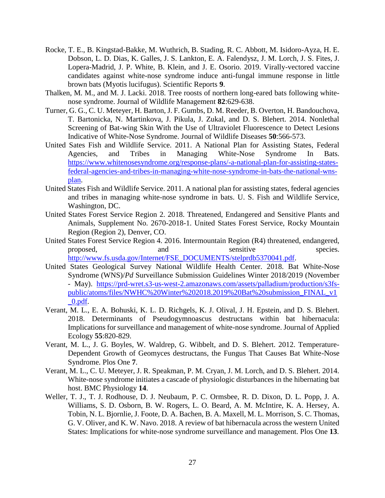- Rocke, T. E., B. Kingstad-Bakke, M. Wuthrich, B. Stading, R. C. Abbott, M. Isidoro-Ayza, H. E. Dobson, L. D. Dias, K. Galles, J. S. Lankton, E. A. Falendysz, J. M. Lorch, J. S. Fites, J. Lopera-Madrid, J. P. White, B. Klein, and J. E. Osorio. 2019. Virally-vectored vaccine candidates against white-nose syndrome induce anti-fungal immune response in little brown bats (Myotis lucifugus). Scientific Reports **9**.
- Thalken, M. M., and M. J. Lacki. 2018. Tree roosts of northern long-eared bats following whitenose syndrome. Journal of Wildlife Management **82**:629-638.
- Turner, G. G., C. U. Meteyer, H. Barton, J. F. Gumbs, D. M. Reeder, B. Overton, H. Bandouchova, T. Bartonicka, N. Martinkova, J. Pikula, J. Zukal, and D. S. Blehert. 2014. Nonlethal Screening of Bat-wing Skin With the Use of Ultraviolet Fluorescence to Detect Lesions Indicative of White-Nose Syndrome. Journal of Wildlife Diseases **50**:566-573.
- United Sates Fish and Wildlife Service. 2011. A National Plan for Assisting States, Federal Agencies, and Tribes in Managing White-Nose Syndrome In Bats. [https://www.whitenosesyndrome.org/response-plans/-a-national-plan-for-assisting-states](https://www.whitenosesyndrome.org/response-plans/-a-national-plan-for-assisting-states-federal-agencies-and-tribes-in-managing-white-nose-syndrome-in-bats-the-national-wns-plan)[federal-agencies-and-tribes-in-managing-white-nose-syndrome-in-bats-the-national-wns](https://www.whitenosesyndrome.org/response-plans/-a-national-plan-for-assisting-states-federal-agencies-and-tribes-in-managing-white-nose-syndrome-in-bats-the-national-wns-plan)[plan.](https://www.whitenosesyndrome.org/response-plans/-a-national-plan-for-assisting-states-federal-agencies-and-tribes-in-managing-white-nose-syndrome-in-bats-the-national-wns-plan)
- United States Fish and Wildlife Service. 2011. A national plan for assisting states, federal agencies and tribes in managing white-nose syndrome in bats. U. S. Fish and Wildlife Service, Washington, DC.
- United States Forest Service Region 2. 2018. Threatened, Endangered and Sensitive Plants and Animals, Supplement No. 2670-2018-1. United States Forest Service, Rocky Mountain Region (Region 2), Denver, CO.
- United States Forest Service Region 4. 2016. Intermountain Region (R4) threatened, endangered, proposed, and and sensitive species. [http://www.fs.usda.gov/Internet/FSE\\_DOCUMENTS/stelprdb5370041.pdf.](http://www.fs.usda.gov/Internet/FSE_DOCUMENTS/stelprdb5370041.pdf)
- United States Geological Survey National Wildlife Health Center. 2018. Bat White-Nose Syndrome (WNS)/*Pd* Surveillance Submission Guidelines Winter 2018/2019 (November - May). [https://prd-wret.s3-us-west-2.amazonaws.com/assets/palladium/production/s3fs](https://prd-wret.s3-us-west-2.amazonaws.com/assets/palladium/production/s3fs-public/atoms/files/NWHC%20Winter%202018.2019%20Bat%20submission_FINAL_v1_0.pdf)[public/atoms/files/NWHC%20Winter%202018.2019%20Bat%20submission\\_FINAL\\_v1](https://prd-wret.s3-us-west-2.amazonaws.com/assets/palladium/production/s3fs-public/atoms/files/NWHC%20Winter%202018.2019%20Bat%20submission_FINAL_v1_0.pdf) [\\_0.pdf.](https://prd-wret.s3-us-west-2.amazonaws.com/assets/palladium/production/s3fs-public/atoms/files/NWHC%20Winter%202018.2019%20Bat%20submission_FINAL_v1_0.pdf)
- Verant, M. L., E. A. Bohuski, K. L. D. Richgels, K. J. Olival, J. H. Epstein, and D. S. Blehert. 2018. Determinants of Pseudogymnoascus destructans within bat hibernacula: Implications for surveillance and management of white-nose syndrome. Journal of Applied Ecology **55**:820-829.
- Verant, M. L., J. G. Boyles, W. Waldrep, G. Wibbelt, and D. S. Blehert. 2012. Temperature-Dependent Growth of Geomyces destructans, the Fungus That Causes Bat White-Nose Syndrome. Plos One **7**.
- Verant, M. L., C. U. Meteyer, J. R. Speakman, P. M. Cryan, J. M. Lorch, and D. S. Blehert. 2014. White-nose syndrome initiates a cascade of physiologic disturbances in the hibernating bat host. BMC Physiology **14**.
- Weller, T. J., T. J. Rodhouse, D. J. Neubaum, P. C. Ormsbee, R. D. Dixon, D. L. Popp, J. A. Williams, S. D. Osborn, B. W. Rogers, L. O. Beard, A. M. McIntire, K. A. Hersey, A. Tobin, N. L. Bjornlie, J. Foote, D. A. Bachen, B. A. Maxell, M. L. Morrison, S. C. Thomas, G. V. Oliver, and K. W. Navo. 2018. A review of bat hibernacula across the western United States: Implications for white-nose syndrome surveillance and management. Plos One **13**.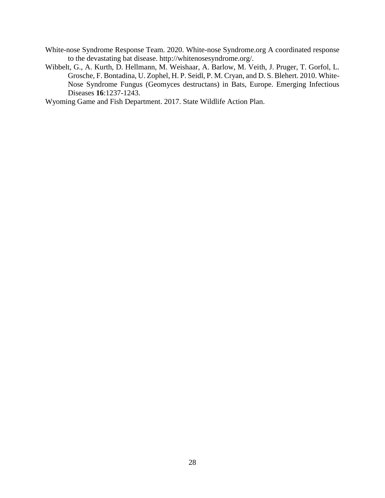- White-nose Syndrome Response Team. 2020. White-nose Syndrome.org A coordinated response to the devastating bat disease. http://whitenosesyndrome.org/.
- Wibbelt, G., A. Kurth, D. Hellmann, M. Weishaar, A. Barlow, M. Veith, J. Pruger, T. Gorfol, L. Grosche, F. Bontadina, U. Zophel, H. P. Seidl, P. M. Cryan, and D. S. Blehert. 2010. White-Nose Syndrome Fungus (Geomyces destructans) in Bats, Europe. Emerging Infectious Diseases **16**:1237-1243.

Wyoming Game and Fish Department. 2017. State Wildlife Action Plan.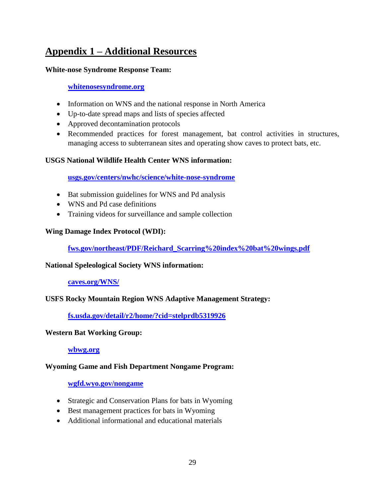# <span id="page-31-0"></span>**Appendix 1 – Additional Resources**

## **White-nose Syndrome Response Team:**

## **[whitenosesyndrome.org](https://www.whitenosesyndrome.org/)**

- Information on WNS and the national response in North America
- Up-to-date spread maps and lists of species affected
- Approved decontamination protocols
- Recommended practices for forest management, bat control activities in structures, managing access to subterranean sites and operating show caves to protect bats, etc.

## **USGS National Wildlife Health Center WNS information:**

**[usgs.gov/centers/nwhc/science/white-nose-syndrome](https://www.usgs.gov/centers/nwhc/science/white-nose-syndrome)**

- Bat submission guidelines for WNS and Pd analysis
- WNS and Pd case definitions
- Training videos for surveillance and sample collection

## **Wing Damage Index Protocol (WDI):**

**[fws.gov/northeast/PDF/Reichard\\_Scarring%20index%20bat%20wings.pdf](https://www.fws.gov/northeast/PDF/Reichard_Scarring%20index%20bat%20wings.pdf)**

## **National Speleological Society WNS information:**

## **[caves.org/WNS/](https://caves.org/WNS/)**

# **USFS Rocky Mountain Region WNS Adaptive Management Strategy:**

**[fs.usda.gov/detail/r2/home/?cid=stelprdb5319926](https://www.fs.usda.gov/detail/r2/home/?cid=stelprdb5319926)**

## **Western Bat Working Group:**

**[wbwg.org](http://wbwg.org/)**

## **Wyoming Game and Fish Department Nongame Program:**

## **[wgfd.wyo.gov/nongame](https://wgfd.wyo.gov/nongame)**

- Strategic and Conservation Plans for bats in Wyoming
- Best management practices for bats in Wyoming
- Additional informational and educational materials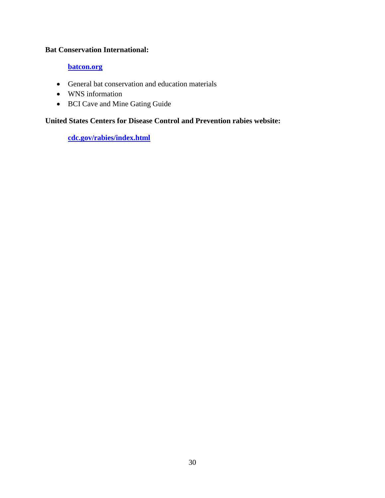#### **Bat Conservation International:**

## **[batcon.org](http://www.batcon.org/)**

- General bat conservation and education materials
- WNS information
- BCI Cave and Mine Gating Guide

# **United States Centers for Disease Control and Prevention rabies website:**

**[cdc.gov/rabies/index.html](https://www.cdc.gov/rabies/index.html)**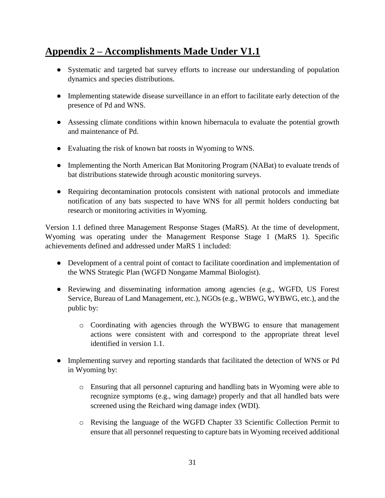# <span id="page-33-0"></span>**Appendix 2 – Accomplishments Made Under V1.1**

- Systematic and targeted bat survey efforts to increase our understanding of population dynamics and species distributions.
- Implementing statewide disease surveillance in an effort to facilitate early detection of the presence of Pd and WNS.
- Assessing climate conditions within known hibernacula to evaluate the potential growth and maintenance of Pd.
- Evaluating the risk of known bat roosts in Wyoming to WNS.
- Implementing the North American Bat Monitoring Program (NABat) to evaluate trends of bat distributions statewide through acoustic monitoring surveys.
- Requiring decontamination protocols consistent with national protocols and immediate notification of any bats suspected to have WNS for all permit holders conducting bat research or monitoring activities in Wyoming.

Version 1.1 defined three Management Response Stages (MaRS). At the time of development, Wyoming was operating under the Management Response Stage 1 (MaRS 1). Specific achievements defined and addressed under MaRS 1 included:

- Development of a central point of contact to facilitate coordination and implementation of the WNS Strategic Plan (WGFD Nongame Mammal Biologist).
- Reviewing and disseminating information among agencies (e.g., WGFD, US Forest Service, Bureau of Land Management, etc.), NGOs (e.g., WBWG, WYBWG, etc.), and the public by:
	- o Coordinating with agencies through the WYBWG to ensure that management actions were consistent with and correspond to the appropriate threat level identified in version 1.1.
- Implementing survey and reporting standards that facilitated the detection of WNS or Pd in Wyoming by:
	- o Ensuring that all personnel capturing and handling bats in Wyoming were able to recognize symptoms (e.g., wing damage) properly and that all handled bats were screened using the Reichard wing damage index (WDI).
	- o Revising the language of the WGFD Chapter 33 Scientific Collection Permit to ensure that all personnel requesting to capture bats in Wyoming received additional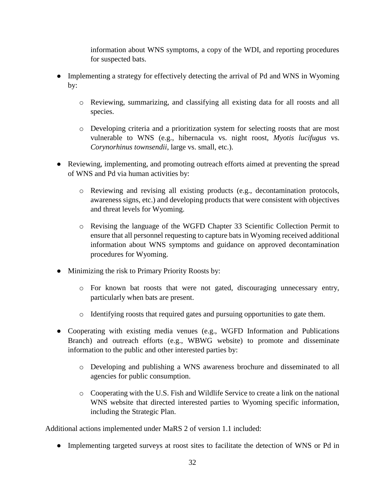information about WNS symptoms, a copy of the WDI, and reporting procedures for suspected bats.

- Implementing a strategy for effectively detecting the arrival of Pd and WNS in Wyoming by:
	- o Reviewing, summarizing, and classifying all existing data for all roosts and all species.
	- o Developing criteria and a prioritization system for selecting roosts that are most vulnerable to WNS (e.g., hibernacula vs. night roost, *Myotis lucifugus* vs. *Corynorhinus townsendii*, large vs. small, etc.).
- Reviewing, implementing, and promoting outreach efforts aimed at preventing the spread of WNS and Pd via human activities by:
	- o Reviewing and revising all existing products (e.g., decontamination protocols, awareness signs, etc.) and developing products that were consistent with objectives and threat levels for Wyoming.
	- o Revising the language of the WGFD Chapter 33 Scientific Collection Permit to ensure that all personnel requesting to capture bats in Wyoming received additional information about WNS symptoms and guidance on approved decontamination procedures for Wyoming.
- Minimizing the risk to Primary Priority Roosts by:
	- o For known bat roosts that were not gated, discouraging unnecessary entry, particularly when bats are present.
	- o Identifying roosts that required gates and pursuing opportunities to gate them.
- Cooperating with existing media venues (e.g., WGFD Information and Publications Branch) and outreach efforts (e.g., WBWG website) to promote and disseminate information to the public and other interested parties by:
	- o Developing and publishing a WNS awareness brochure and disseminated to all agencies for public consumption.
	- o Cooperating with the U.S. Fish and Wildlife Service to create a link on the national WNS website that directed interested parties to Wyoming specific information, including the Strategic Plan.

Additional actions implemented under MaRS 2 of version 1.1 included:

• Implementing targeted surveys at roost sites to facilitate the detection of WNS or Pd in